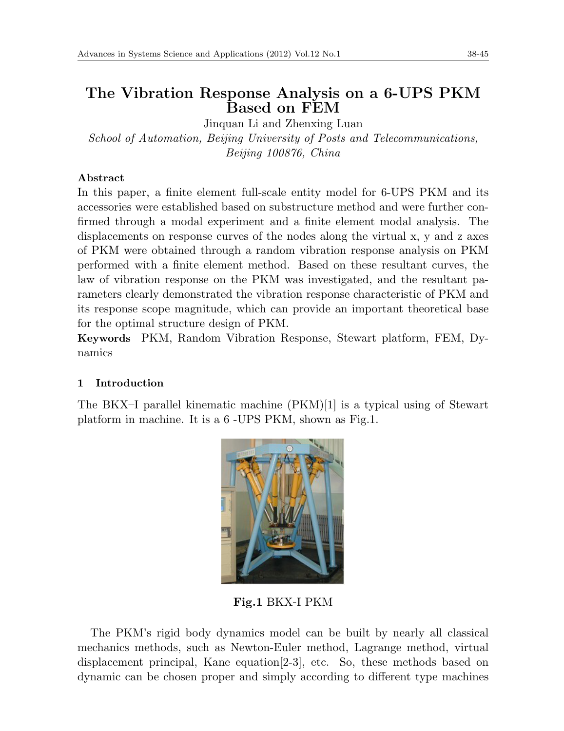# **The Vibration Response Analysis on a 6-UPS PKM Based on FEM**

Jinquan Li and Zhenxing Luan *School of Automation, Beijing University of Posts and Telecommunications, Beijing 100876, China*

### **Abstract**

In this paper, a finite element full-scale entity model for 6-UPS PKM and its accessories were established based on substructure method and were further confirmed through a modal experiment and a finite element modal analysis. The displacements on response curves of the nodes along the virtual x, y and z axes of PKM were obtained through a random vibration response analysis on PKM performed with a finite element method. Based on these resultant curves, the law of vibration response on the PKM was investigated, and the resultant parameters clearly demonstrated the vibration response characteristic of PKM and its response scope magnitude, which can provide an important theoretical base for the optimal structure design of PKM.

**Keywords** PKM, Random Vibration Response, Stewart platform, FEM, Dynamics

## **1 Introduction**

The BKX–I parallel kinematic machine  $(PKM)[1]$  is a typical using of Stewart platform in machine. It is a 6 -UPS PKM, shown as Fig.1.



**Fig.1** BKX-I PKM

The PKM's rigid body dynamics model can be built by nearly all classical mechanics methods, such as Newton-Euler method, Lagrange method, virtual displacement principal, Kane equation[2-3], etc. So, these methods based on dynamic can be chosen proper and simply according to different type machines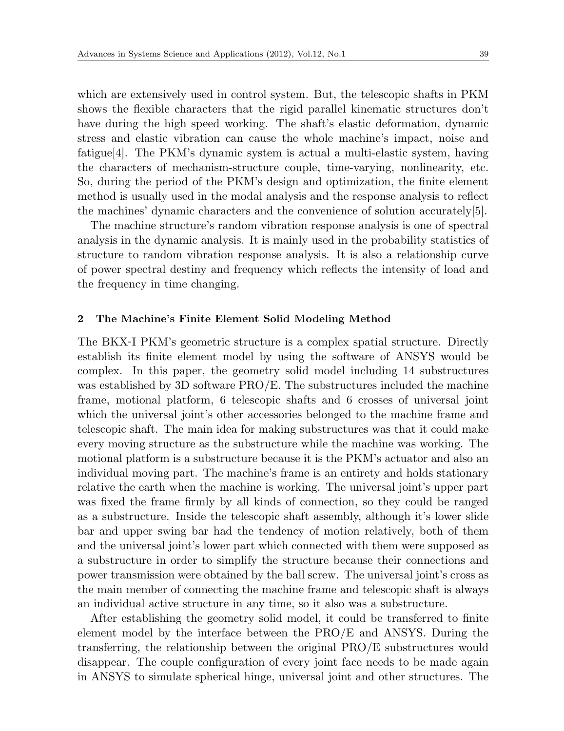which are extensively used in control system. But, the telescopic shafts in PKM shows the flexible characters that the rigid parallel kinematic structures don't have during the high speed working. The shaft's elastic deformation, dynamic stress and elastic vibration can cause the whole machine's impact, noise and fatigue[4]. The PKM's dynamic system is actual a multi-elastic system, having the characters of mechanism-structure couple, time-varying, nonlinearity, etc. So, during the period of the PKM's design and optimization, the finite element method is usually used in the modal analysis and the response analysis to reflect the machines' dynamic characters and the convenience of solution accurately[5].

The machine structure's random vibration response analysis is one of spectral analysis in the dynamic analysis. It is mainly used in the probability statistics of structure to random vibration response analysis. It is also a relationship curve of power spectral destiny and frequency which reflects the intensity of load and the frequency in time changing.

#### **2 The Machine's Finite Element Solid Modeling Method**

The BKX-I PKM's geometric structure is a complex spatial structure. Directly establish its finite element model by using the software of ANSYS would be complex. In this paper, the geometry solid model including 14 substructures was established by 3D software PRO/E. The substructures included the machine frame, motional platform, 6 telescopic shafts and 6 crosses of universal joint which the universal joint's other accessories belonged to the machine frame and telescopic shaft. The main idea for making substructures was that it could make every moving structure as the substructure while the machine was working. The motional platform is a substructure because it is the PKM's actuator and also an individual moving part. The machine's frame is an entirety and holds stationary relative the earth when the machine is working. The universal joint's upper part was fixed the frame firmly by all kinds of connection, so they could be ranged as a substructure. Inside the telescopic shaft assembly, although it's lower slide bar and upper swing bar had the tendency of motion relatively, both of them and the universal joint's lower part which connected with them were supposed as a substructure in order to simplify the structure because their connections and power transmission were obtained by the ball screw. The universal joint's cross as the main member of connecting the machine frame and telescopic shaft is always an individual active structure in any time, so it also was a substructure.

After establishing the geometry solid model, it could be transferred to finite element model by the interface between the PRO/E and ANSYS. During the transferring, the relationship between the original PRO/E substructures would disappear. The couple configuration of every joint face needs to be made again in ANSYS to simulate spherical hinge, universal joint and other structures. The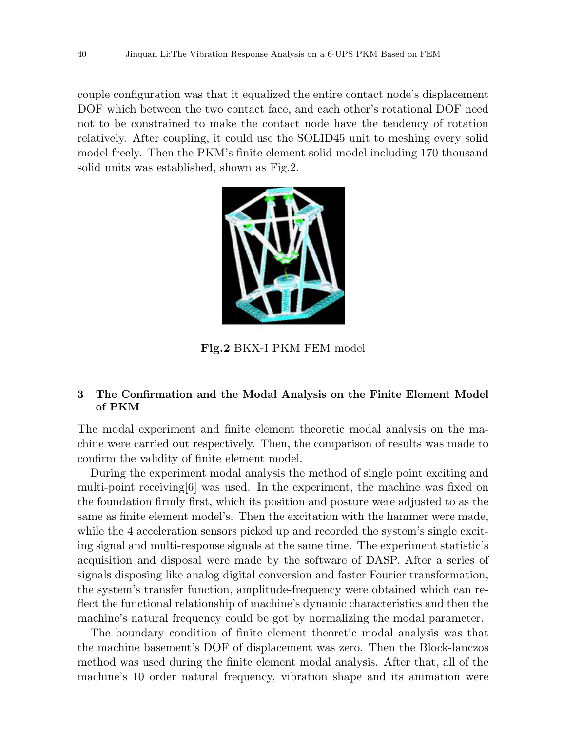couple configuration was that it equalized the entire contact node's displacement DOF which between the two contact face, and each other's rotational DOF need not to be constrained to make the contact node have the tendency of rotation relatively. After coupling, it could use the SOLID45 unit to meshing every solid model freely. Then the PKM's finite element solid model including 170 thousand solid units was established, shown as Fig.2.



**Fig.2** BKX-I PKM FEM model

### **3 The Confirmation and the Modal Analysis on the Finite Element Model of PKM**

The modal experiment and finite element theoretic modal analysis on the machine were carried out respectively. Then, the comparison of results was made to confirm the validity of finite element model.

During the experiment modal analysis the method of single point exciting and multi-point receiving[6] was used. In the experiment, the machine was fixed on the foundation firmly first, which its position and posture were adjusted to as the same as finite element model's. Then the excitation with the hammer were made, while the 4 acceleration sensors picked up and recorded the system's single exciting signal and multi-response signals at the same time. The experiment statistic's acquisition and disposal were made by the software of DASP. After a series of signals disposing like analog digital conversion and faster Fourier transformation, the system's transfer function, amplitude-frequency were obtained which can reflect the functional relationship of machine's dynamic characteristics and then the machine's natural frequency could be got by normalizing the modal parameter.

The boundary condition of finite element theoretic modal analysis was that the machine basement's DOF of displacement was zero. Then the Block-lanczos method was used during the finite element modal analysis. After that, all of the machine's 10 order natural frequency, vibration shape and its animation were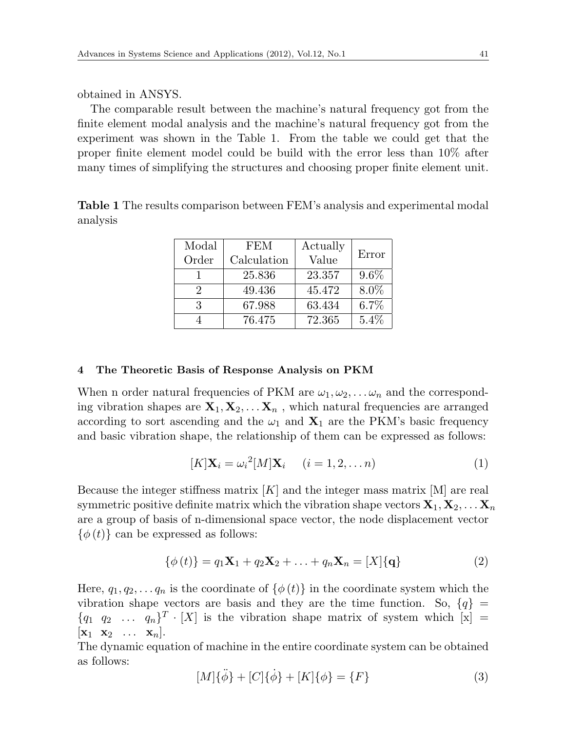obtained in ANSYS.

The comparable result between the machine's natural frequency got from the finite element modal analysis and the machine's natural frequency got from the experiment was shown in the Table 1. From the table we could get that the proper finite element model could be build with the error less than 10% after many times of simplifying the structures and choosing proper finite element unit.

**Table 1** The results comparison between FEM's analysis and experimental modal analysis

| Modal                       | <b>FEM</b>  | Actually |         |
|-----------------------------|-------------|----------|---------|
| Order                       | Calculation | Value    | Error   |
|                             | 25.836      | 23.357   | $9.6\%$ |
| $\mathcal{D}_{\mathcal{L}}$ | 49.436      | 45.472   | 8.0%    |
| 3                           | 67.988      | 63.434   | $6.7\%$ |
|                             | 76.475      | 72.365   | 5.4%    |

#### **4 The Theoretic Basis of Response Analysis on PKM**

When n order natural frequencies of PKM are  $\omega_1, \omega_2, \ldots, \omega_n$  and the corresponding vibration shapes are  $X_1, X_2, \ldots, X_n$ , which natural frequencies are arranged according to sort ascending and the  $\omega_1$  and  $\mathbf{X}_1$  are the PKM's basic frequency and basic vibration shape, the relationship of them can be expressed as follows:

$$
[K]\mathbf{X}_i = \omega_i^2 [M]\mathbf{X}_i \quad (i = 1, 2, \dots n)
$$
\n(1)

Because the integer stiffness matrix [*K*] and the integer mass matrix [M] are real symmetric positive definite matrix which the vibration shape vectors  $\mathbf{X}_1, \mathbf{X}_2, \ldots, \mathbf{X}_n$ are a group of basis of n-dimensional space vector, the node displacement vector  $\{\phi(t)\}\$ can be expressed as follows:

$$
\{\phi(t)\} = q_1 \mathbf{X}_1 + q_2 \mathbf{X}_2 + \ldots + q_n \mathbf{X}_n = [X] \{ \mathbf{q} \}
$$
 (2)

Here,  $q_1, q_2, \ldots, q_n$  is the coordinate of  $\{\phi(t)\}\$ in the coordinate system which the vibration shape vectors are basis and they are the time function. So,  ${q}$  $\{q_1 \ q_2 \ \ldots \ q_n\}^T \cdot [X]$  is the vibration shape matrix of system which  $[x] =$  $[\mathbf{x}_1 \ \mathbf{x}_2 \ \ldots \ \mathbf{x}_n].$ 

The dynamic equation of machine in the entire coordinate system can be obtained as follows:

$$
[M]\{\ddot{\phi}\} + [C]\{\dot{\phi}\} + [K]\{\phi\} = \{F\}
$$
\n(3)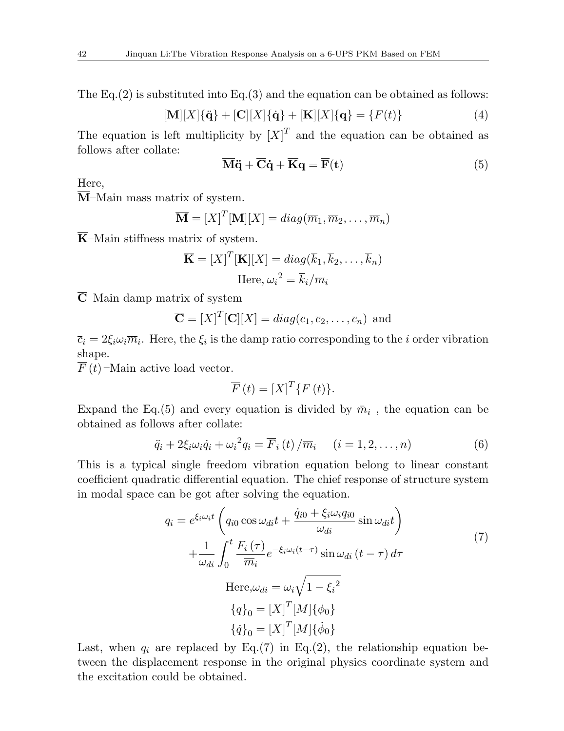The Eq.(2) is substituted into Eq.(3) and the equation can be obtained as follows:

$$
[\mathbf{M}][X]\{\ddot{\mathbf{q}}\} + [\mathbf{C}][X]\{\dot{\mathbf{q}}\} + [\mathbf{K}][X]\{\mathbf{q}\} = \{F(t)\}\
$$
(4)

The equation is left multiplicity by  $[X]^T$  and the equation can be obtained as follows after collate:

$$
\overline{\mathbf{M}}\ddot{\mathbf{q}} + \overline{\mathbf{C}}\dot{\mathbf{q}} + \overline{\mathbf{K}}\mathbf{q} = \overline{\mathbf{F}}(\mathbf{t})
$$
\n(5)

Here,

**M**–Main mass matrix of system.

$$
\overline{\mathbf{M}} = [X]^T [\mathbf{M}][X] = diag(\overline{m}_1, \overline{m}_2, \dots, \overline{m}_n)
$$

 $\overline{K}$ –Main stiffness matrix of system.

$$
\overline{\mathbf{K}} = [X]^T [\mathbf{K}][X] = diag(\overline{k}_1, \overline{k}_2, \dots, \overline{k}_n)
$$
  
Here,  $\omega_i^2 = \overline{k}_i / \overline{m}_i$ 

**C**–Main damp matrix of system

$$
\overline{\mathbf{C}} = [X]^T [\mathbf{C}][X] = diag(\overline{c}_1, \overline{c}_2, \dots, \overline{c}_n)
$$
 and

 $\overline{c}_i = 2\xi_i \omega_i \overline{m}_i$ . Here, the  $\xi_i$  is the damp ratio corresponding to the *i* order vibration shape.

 $\overline{F}(t)$  –Main active load vector.

$$
\overline{F}(t) = [X]^T \{F(t)\}.
$$

Expand the Eq.(5) and every equation is divided by  $\bar{m}_i$ , the equation can be obtained as follows after collate:

$$
\ddot{q}_i + 2\xi_i \omega_i \dot{q}_i + {\omega_i}^2 q_i = \overline{F}_i(t) / \overline{m}_i \quad (i = 1, 2, \dots, n)
$$
 (6)

This is a typical single freedom vibration equation belong to linear constant coefficient quadratic differential equation. The chief response of structure system in modal space can be got after solving the equation.

$$
q_i = e^{\xi_i \omega_i t} \left( q_{i0} \cos \omega_{di} t + \frac{\dot{q}_{i0} + \xi_i \omega_i q_{i0}}{\omega_{di}} \sin \omega_{di} t \right)
$$
  
+ 
$$
\frac{1}{\omega_{di}} \int_0^t \frac{F_i(\tau)}{\overline{m}_i} e^{-\xi_i \omega_i (t-\tau)} \sin \omega_{di} (t-\tau) d\tau
$$
  
Here,  $\omega_{di} = \omega_i \sqrt{1 - {\xi_i}^2}$   

$$
\{q\}_0 = [X]^T [M] \{\phi_0\}
$$
  

$$
\{\dot{q}\}_0 = [X]^T [M] \{\dot{\phi}_0\}
$$

Last, when  $q_i$  are replaced by Eq.(7) in Eq.(2), the relationship equation between the displacement response in the original physics coordinate system and the excitation could be obtained.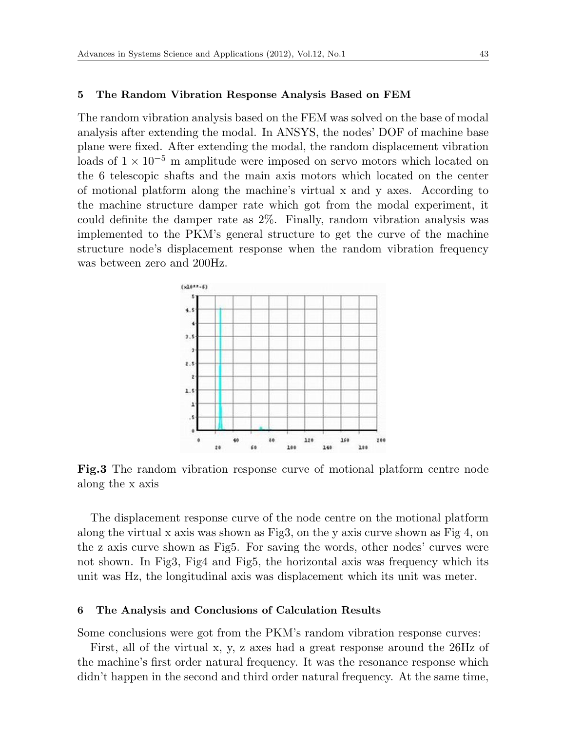#### **5 The Random Vibration Response Analysis Based on FEM**

The random vibration analysis based on the FEM was solved on the base of modal analysis after extending the modal. In ANSYS, the nodes' DOF of machine base plane were fixed. After extending the modal, the random displacement vibration loads of 1 *×* 10*−*<sup>5</sup> m amplitude were imposed on servo motors which located on the 6 telescopic shafts and the main axis motors which located on the center of motional platform along the machine's virtual x and y axes. According to the machine structure damper rate which got from the modal experiment, it could definite the damper rate as 2%. Finally, random vibration analysis was implemented to the PKM's general structure to get the curve of the machine structure node's displacement response when the random vibration frequency was between zero and 200Hz.



**Fig.3** The random vibration response curve of motional platform centre node along the x axis

The displacement response curve of the node centre on the motional platform along the virtual x axis was shown as Fig3, on the y axis curve shown as Fig  $4$ , on the z axis curve shown as Fig5. For saving the words, other nodes' curves were not shown. In Fig3, Fig4 and Fig5, the horizontal axis was frequency which its unit was Hz, the longitudinal axis was displacement which its unit was meter.

#### **6 The Analysis and Conclusions of Calculation Results**

Some conclusions were got from the PKM's random vibration response curves:

First, all of the virtual x, y, z axes had a great response around the 26Hz of the machine's first order natural frequency. It was the resonance response which didn't happen in the second and third order natural frequency. At the same time,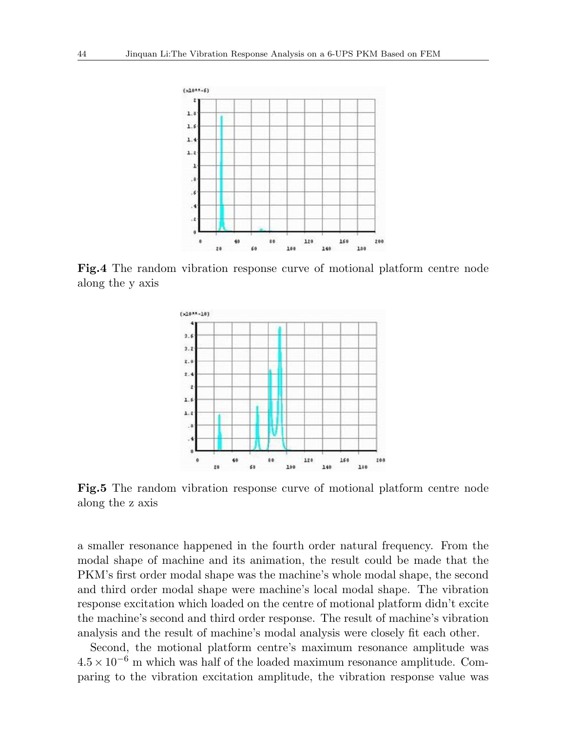

**Fig.4** The random vibration response curve of motional platform centre node along the y axis



**Fig.5** The random vibration response curve of motional platform centre node along the z axis

a smaller resonance happened in the fourth order natural frequency. From the modal shape of machine and its animation, the result could be made that the PKM's first order modal shape was the machine's whole modal shape, the second and third order modal shape were machine's local modal shape. The vibration response excitation which loaded on the centre of motional platform didn't excite the machine's second and third order response. The result of machine's vibration analysis and the result of machine's modal analysis were closely fit each other.

Second, the motional platform centre's maximum resonance amplitude was 4*.*5 *×* 10*−*<sup>6</sup> m which was half of the loaded maximum resonance amplitude. Comparing to the vibration excitation amplitude, the vibration response value was